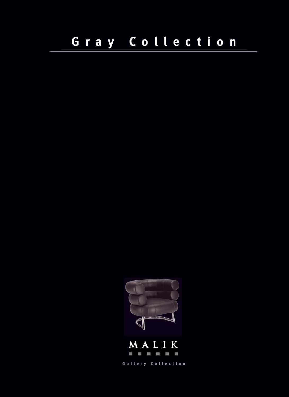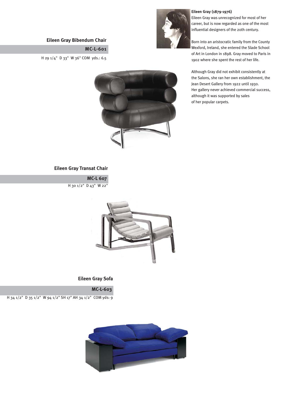#### **Eileen Gray Bibendum Chair**

**MC-L-601**

H 29 1/4" D 33" W 36" COM yds.: 6.5



#### **Eileen Gray (1879-1976)**

Eileen Gray was unrecognized for most of her career, but is now regarded as one of the most influential designers of the 20th century.

Born into an aristocratic family from the County Wexford, Ireland, she entered the Slade School of Art in London in 1898. Gray moved to Paris in 1902 where she spent the rest of her life.

Although Gray did not exhibit consistently at the Salons, she ran her own establishment, the Jean Desert Gallery from 1922 until 1930. Her gallery never achieved commercial success, although it was supported by sales of her popular carpets.

#### **Eileen Gray Transat Chair**

**MC-L 607** H 30 1/2" D 43" W 22"



#### **Eileen Gray Sofa**

**MC-L-603**

H 34 1/2" D 35 1/2" W 94 1/2" SH 17" AH 34 1/2" COM yds: 9

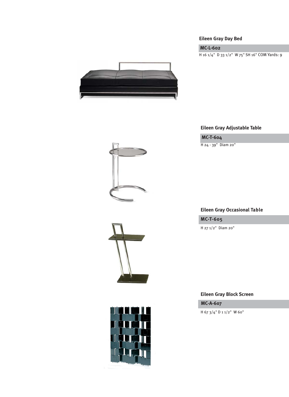### **Eileen Gray Day Bed**

# **MC-L-602**

H 16 1/4" D 33 1/2" W 75" SH 16" COM Yards: 9



# **Eileen Gray Adjustable Table**

# **MC-T-604**

H 24 - 39" Diam 20"

# **Eileen Gray Occasional Table**

**MC-T-605**

H 27 1/2" Diam 20"

### **Eileen Gray Block Screen**

**MC-A-607**

H 67 3/4" D 1 1/2" W 60"